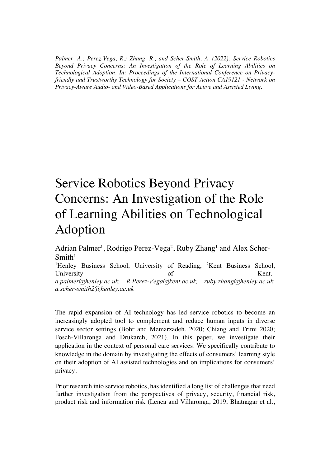*Palmer, A.; Perez-Vega, R.; Zhang, R., and Scher-Smith, A. (2022): Service Robotics Beyond Privacy Concerns: An Investigation of the Role of Learning Abilities on Technological Adoption. In: Proceedings of the International Conference on Privacyfriendly and Trustworthy Technology for Society – COST Action CA19121 - Network on Privacy-Aware Audio- and Video-Based Applications for Active and Assisted Living.*

## Service Robotics Beyond Privacy Concerns: An Investigation of the Role of Learning Abilities on Technological Adoption

Adrian Palmer<sup>1</sup>, Rodrigo Perez-Vega<sup>2</sup>, Ruby Zhang<sup>1</sup> and Alex Scher- $Smith<sup>1</sup>$ 

<sup>1</sup>Henley Business School, University of Reading, <sup>2</sup>Kent Business School, University of Kent. *a.palmer@henley.ac.uk, R.Perez-Vega@kent.ac.uk, ruby.zhang@henley.ac.uk, a.scher-smith2@henley.ac.uk*

The rapid expansion of AI technology has led service robotics to become an increasingly adopted tool to complement and reduce human inputs in diverse service sector settings (Bohr and Memarzadeh, 2020; Chiang and Trimi 2020; Fosch-Villaronga and Drukarch, 2021). In this paper, we investigate their application in the context of personal care services. We specifically contribute to knowledge in the domain by investigating the effects of consumers' learning style on their adoption of AI assisted technologies and on implications for consumers' privacy.

Prior research into service robotics, has identified a long list of challenges that need further investigation from the perspectives of privacy, security, financial risk, product risk and information risk (Lenca and Villaronga, 2019; Bhatnagar et al.,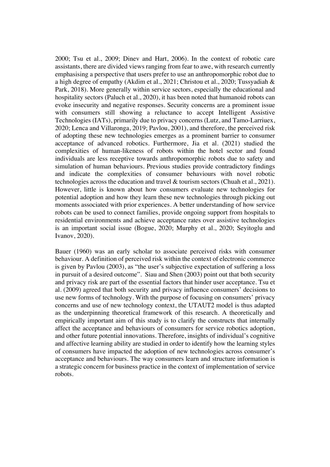2000; Tsu et al., 2009; Dinev and Hart, 2006). In the context of robotic care assistants, there are divided views ranging from fear to awe, with research currently emphasising a perspective that users prefer to use an anthropomorphic robot due to a high degree of empathy (Akdim et al., 2021; Christou et al., 2020; Tussyadiah & Park, 2018). More generally within service sectors, especially the educational and hospitality sectors (Paluch et al., 2020), it has been noted that humanoid robots can evoke insecurity and negative responses. Security concerns are a prominent issue with consumers still showing a reluctance to accept Intelligent Assistive Technologies (IATs), primarily due to privacy concerns (Lutz, and Tamo-Larriuex, 2020; Lenca and Villaronga, 2019; Pavlou, 2001), and therefore, the perceived risk of adopting these new technologies emerges as a prominent barrier to consumer acceptance of advanced robotics. Furthermore, Jia et al. (2021) studied the complexities of human-likeness of robots within the hotel sector and found individuals are less receptive towards anthropomorphic robots due to safety and simulation of human behaviours. Previous studies provide contradictory findings and indicate the complexities of consumer behaviours with novel robotic technologies across the education and travel & tourism sectors (Chuah et al., 2021). However, little is known about how consumers evaluate new technologies for potential adoption and how they learn these new technologies through picking out moments associated with prior experiences. A better understanding of how service robots can be used to connect families, provide ongoing support from hospitals to residential environments and achieve acceptance rates over assistive technologies is an important social issue (Bogue, 2020; Murphy et al., 2020; Seyitoglu and Ivanov, 2020).

Bauer (1960) was an early scholar to associate perceived risks with consumer behaviour. A definition of perceived risk within the context of electronic commerce is given by Pavlou (2003), as "the user's subjective expectation of suffering a loss in pursuit of a desired outcome". Siau and Shen (2003) point out that both security and privacy risk are part of the essential factors that hinder user acceptance. Tsu et al. (2009) agreed that both security and privacy influence consumers' decisions to use new forms of technology. With the purpose of focusing on consumers' privacy concerns and use of new technology context, the UTAUT2 model is thus adapted as the underpinning theoretical framework of this research. A theoretically and empirically important aim of this study is to clarify the constructs that internally affect the acceptance and behaviours of consumers for service robotics adoption, and other future potential innovations. Therefore, insights of individual's cognitive and affective learning ability are studied in order to identify how the learning styles of consumers have impacted the adoption of new technologies across consumer's acceptance and behaviours. The way consumers learn and structure information is a strategic concern for business practice in the context of implementation of service robots.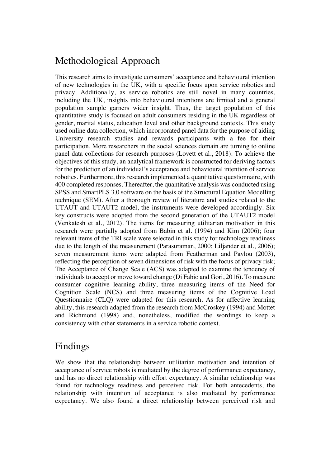## Methodological Approach

This research aims to investigate consumers' acceptance and behavioural intention of new technologies in the UK, with a specific focus upon service robotics and privacy. Additionally, as service robotics are still novel in many countries, including the UK, insights into behavioural intentions are limited and a general population sample garners wider insight. Thus, the target population of this quantitative study is focused on adult consumers residing in the UK regardless of gender, marital status, education level and other background contexts. This study used online data collection, which incorporated panel data for the purpose of aiding University research studies and rewards participants with a fee for their participation. More researchers in the social sciences domain are turning to online panel data collections for research purposes (Lovett et al., 2018). To achieve the objectives of this study, an analytical framework is constructed for deriving factors for the prediction of an individual's acceptance and behavioural intention of service robotics. Furthermore, this research implemented a quantitative questionnaire, with 400 completed responses. Thereafter, the quantitative analysis was conducted using SPSS and SmartPLS 3.0 software on the basis of the Structural Equation Modelling technique (SEM). After a thorough review of literature and studies related to the UTAUT and UTAUT2 model, the instruments were developed accordingly. Six key constructs were adopted from the second generation of the UTAUT2 model (Venkatesh et al., 2012). The items for measuring utilitarian motivation in this research were partially adopted from Babin et al. (1994) and Kim (2006); four relevant items of the TRI scale were selected in this study for technology readiness due to the length of the measurement (Parasuraman, 2000; Liljander et al., 2006); seven measurement items were adapted from Featherman and Pavlou (2003), reflecting the perception of seven dimensions of risk with the focus of privacy risk; The Acceptance of Change Scale (ACS) was adapted to examine the tendency of individuals to accept or move toward change (Di Fabio and Gori, 2016). To measure consumer cognitive learning ability, three measuring items of the Need for Cognition Scale (NCS) and three measuring items of the Cognitive Load Questionnaire (CLQ) were adapted for this research. As for affective learning ability, this research adapted from the research from McCroskey (1994) and Mottet and Richmond (1998) and, nonetheless, modified the wordings to keep a consistency with other statements in a service robotic context.

## Findings

We show that the relationship between utilitarian motivation and intention of acceptance of service robots is mediated by the degree of performance expectancy, and has no direct relationship with effort expectancy. A similar relationship was found for technology readiness and perceived risk. For both antecedents, the relationship with intention of acceptance is also mediated by performance expectancy. We also found a direct relationship between perceived risk and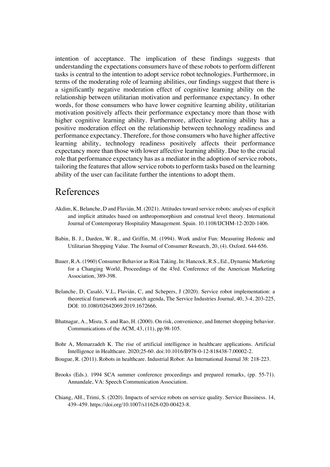intention of acceptance. The implication of these findings suggests that understanding the expectations consumers have of these robots to perform different tasks is central to the intention to adopt service robot technologies. Furthermore, in terms of the moderating role of learning abilities, our findings suggest that there is a significantly negative moderation effect of cognitive learning ability on the relationship between utilitarian motivation and performance expectancy. In other words, for those consumers who have lower cognitive learning ability, utilitarian motivation positively affects their performance expectancy more than those with higher cognitive learning ability. Furthermore, affective learning ability has a positive moderation effect on the relationship between technology readiness and performance expectancy. Therefore, for those consumers who have higher affective learning ability, technology readiness positively affects their performance expectancy more than those with lower affective learning ability. Due to the crucial role that performance expectancy has as a mediator in the adoption of service robots, tailoring the features that allow service robots to perform tasks based on the learning ability of the user can facilitate further the intentions to adopt them.

## References

- Akdim, K, Belanche, D and Flavián, M. (2021). Attitudes toward service robots: analyses of explicit and implicit attitudes based on anthropomorphism and construal level theory. International Journal of Contemporary Hospitality Management. Spain. 10.1108/IJCHM-12-2020-1406.
- Babin, B. J., Darden, W. R., and Griffin, M. (1994). Work and/or Fun: Measuring Hedonic and Utilitarian Shopping Value. The Journal of Consumer Research, 20, (4). Oxford. 644-656.
- Bauer, R.A. (1960) Consumer Behavior as Risk Taking. In: Hancock, R.S., Ed., Dynamic Marketing for a Changing World, Proceedings of the 43rd. Conference of the American Marketing Association, 389-398.
- Belanche, D, Casaló, V.L, Flavián, C, and Schepers, J (2020). Service robot implementation: a theoretical framework and research agenda, The Service Industries Journal, 40, 3-4, 203-225, DOI: 10.1080/02642069.2019.1672666.
- Bhatnagar, A., Misra, S. and Rao, H. (2000). On risk, convenience, and Internet shopping behavior. Communications of the ACM, 43, (11), pp.98-105.
- Bohr A, Memarzadeh K. The rise of artificial intelligence in healthcare applications. Artificial Intelligence in Healthcare. 2020;25-60. doi:10.1016/B978-0-12-818438-7.00002-2.
- Bougue, R. (2011). Robots in healthcare. Industrial Robot: An International Journal 38: 218-223.
- Brooks (Eds.). 1994 SCA summer conference proceedings and prepared remarks, (pp. 55-71). Annandale, VA: Speech Communication Association.
- Chiang, AH., Trimi, S. (2020). Impacts of service robots on service quality. Service Bussiness. 14, 439–459. https://doi.org/10.1007/s11628-020-00423-8.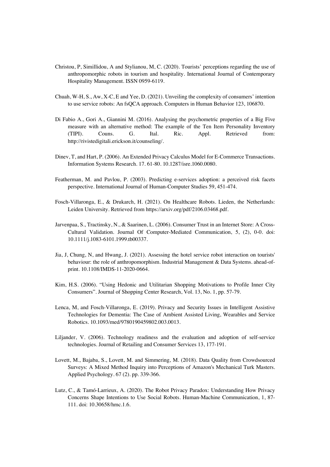- Christou, P, Simillidou, A and Stylianou, M, C. (2020). Tourists' perceptions regarding the use of anthropomorphic robots in tourism and hospitality. International Journal of Contemporary Hospitality Management. ISSN 0959-6119.
- Chuah, W-H, S., Aw, X-C, E and Yee, D. (2021). Unveiling the complexity of consumers' intention to use service robots: An fsQCA approach. Computers in Human Behavior 123, 106870.
- Di Fabio A., Gori A., Giannini M. (2016). Analysing the psychometric properties of a Big Five measure with an alternative method: The example of the Ten Item Personality Inventory (TIPI). Couns. G. Ital. Ric. Appl. Retrieved from: http://rivistedigitali.erickson.it/counseling/.
- Dinev, T, and Hart, P. (2006). An Extended Privacy Calculus Model for E-Commerce Transactions. Information Systems Research. 17. 61-80. 10.1287/isre.1060.0080.
- Featherman, M. and Pavlou, P. (2003). Predicting e-services adoption: a perceived risk facets perspective. International Journal of Human-Computer Studies 59, 451-474.
- Fosch-Villaronga, E., & Drukarch, H. (2021). On Healthcare Robots. Lieden, the Netherlands: Leiden University. Retrieved from https://arxiv.org/pdf/2106.03468.pdf.
- Jarvenpaa, S., Tractinsky, N., & Saarinen, L. (2006). Consumer Trust in an Internet Store: A Cross-Cultural Validation. Journal Of Computer-Mediated Communication, 5, (2), 0-0. doi: 10.1111/j.1083-6101.1999.tb00337.
- Jia, J, Chung, N, and Hwang, J. (2021). Assessing the hotel service robot interaction on tourists' behaviour: the role of anthropomorphism. Industrial Management & Data Systems. ahead-ofprint. 10.1108/IMDS-11-2020-0664.
- Kim, H.S. (2006). "Using Hedonic and Utilitarian Shopping Motivations to Profile Inner City Consumers". Journal of Shopping Center Research, Vol. 13, No. 1, pp. 57-79.
- Lenca, M, and Fosch-Villaronga, E. (2019). Privacy and Security Issues in Intelligent Assistive Technologies for Dementia: The Case of Ambient Assisted Living, Wearables and Service Robotics. 10.1093/med/9780190459802.003.0013.
- Liljander, V. (2006). Technology readiness and the evaluation and adoption of self-service technologies. Journal of Retailing and Consumer Services 13, 177-191.
- Lovett, M., Bajaba, S., Lovett, M. and Simmering, M. (2018). Data Quality from Crowdsourced Surveys: A Mixed Method Inquiry into Perceptions of Amazon's Mechanical Turk Masters. Applied Psychology. 67 (2). pp. 339-366.
- Lutz, C., & Tamó-Larrieux, A. (2020). The Robot Privacy Paradox: Understanding How Privacy Concerns Shape Intentions to Use Social Robots. Human-Machine Communication, 1, 87- 111. doi: 10.30658/hmc.1.6.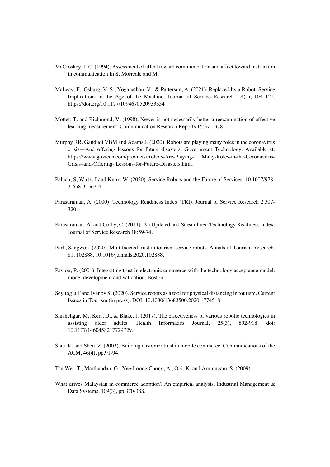- McCroskey, J. C. (1994). Assessment of affect toward communication and affect toward instruction in communication.In S. Morreale and M.
- McLeay, F., Osburg, V. S., Yoganathan, V., & Patterson, A. (2021). Replaced by a Robot: Service Implications in the Age of the Machine. Journal of Service Research, 24(1), 104–121. https://doi.org/10.1177/1094670520933354
- Mottet, T. and Richmond, V. (1998). Newer is not necessarily better a reexamination of affective learning measurement. Communication Research Reports 15:370-378.
- Murphy RR, Gandudi VBM and Adams J. (2020). Robots are playing many roles in the coronavirus crisis—And offering lessons for future disasters. Government Technology. Available at: https://www.govtech.com/products/Robots-Are-Playing- Many-Roles-in-the-Coronavirus-Crisis–and-Offering- Lessons-for-Future-Disasters.html.
- Paluch, S, Wirtz, J and Kunz, W. (2020). Service Robots and the Future of Services. 10.1007/978- 3-658-31563-4.
- Parasuraman, A. (2000). Technology Readiness Index (TRI). Journal of Service Research 2:307- 320.
- Parasuraman, A. and Colby, C. (2014). An Updated and Streamlined Technology Readiness Index. Journal of Service Research 18:59-74.
- Park, Sangwon. (2020). Multifaceted trust in tourism service robots. Annals of Tourism Research. 81. 102888. 10.1016/j.annals.2020.102888.
- Pavlou, P. (2001). Integrating trust in electronic commerce with the technology acceptance model: model development and validation. Boston.
- Seyitoglu F and Ivanov S. (2020). Service robots as a tool for physical distancing in tourism. Current Issues in Tourism (in press). DOI: 10.1080/13683500.2020.1774518.
- Shishehgar, M., Kerr, D., & Blake, J. (2017). The effectiveness of various robotic technologies in assisting older adults. Health Informatics Journal, 25(3), 892-918. doi: 10.1177/1460458217729729.
- Siau, K. and Shen, Z. (2003). Building customer trust in mobile commerce. Communications of the ACM, 46(4), pp.91-94.
- Tsu Wei, T., Marthandan, G., Yee-Loong Chong, A., Ooi, K. and Arumugam, S. (2009).
- What drives Malaysian m-commerce adoption? An empirical analysis. Industrial Management & Data Systems, 109(3), pp.370-388.